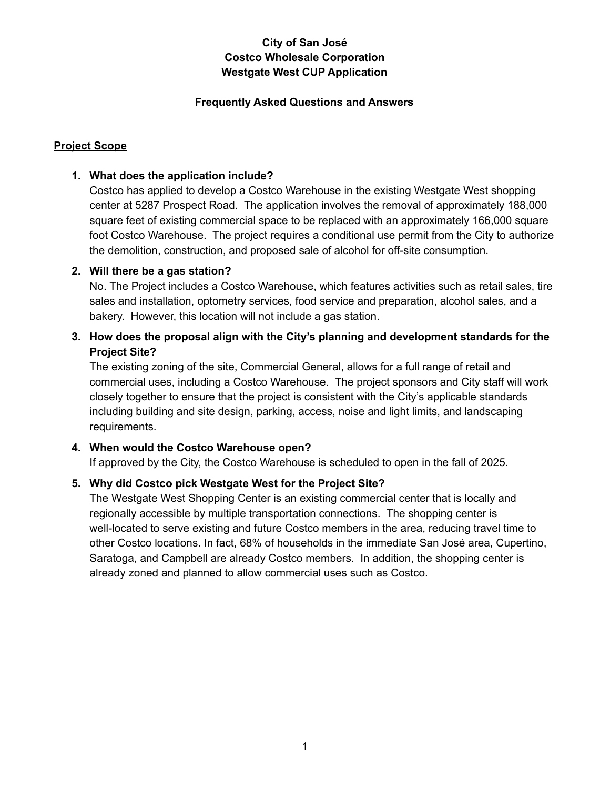#### **Frequently Asked Questions and Answers**

## **Project Scope**

### **1. What does the application include?**

Costco has applied to develop a Costco Warehouse in the existing Westgate West shopping center at 5287 Prospect Road. The application involves the removal of approximately 188,000 square feet of existing commercial space to be replaced with an approximately 166,000 square foot Costco Warehouse. The project requires a conditional use permit from the City to authorize the demolition, construction, and proposed sale of alcohol for off-site consumption.

#### **2. Will there be a gas station?**

No. The Project includes a Costco Warehouse, which features activities such as retail sales, tire sales and installation, optometry services, food service and preparation, alcohol sales, and a bakery. However, this location will not include a gas station.

# **3. How does the proposal align with the City's planning and development standards for the Project Site?**

The existing zoning of the site, Commercial General, allows for a full range of retail and commercial uses, including a Costco Warehouse. The project sponsors and City staff will work closely together to ensure that the project is consistent with the City's applicable standards including building and site design, parking, access, noise and light limits, and landscaping requirements.

#### **4. When would the Costco Warehouse open?**

If approved by the City, the Costco Warehouse is scheduled to open in the fall of 2025.

# **5. Why did Costco pick Westgate West for the Project Site?**

The Westgate West Shopping Center is an existing commercial center that is locally and regionally accessible by multiple transportation connections. The shopping center is well-located to serve existing and future Costco members in the area, reducing travel time to other Costco locations. In fact, 68% of households in the immediate San José area, Cupertino, Saratoga, and Campbell are already Costco members. In addition, the shopping center is already zoned and planned to allow commercial uses such as Costco.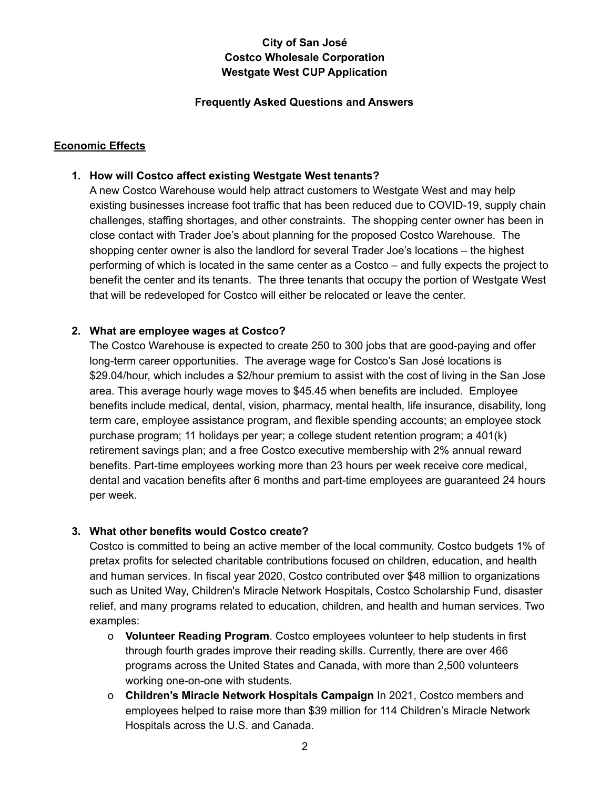#### **Frequently Asked Questions and Answers**

# **Economic Effects**

### **1. How will Costco affect existing Westgate West tenants?**

A new Costco Warehouse would help attract customers to Westgate West and may help existing businesses increase foot traffic that has been reduced due to COVID-19, supply chain challenges, staffing shortages, and other constraints. The shopping center owner has been in close contact with Trader Joe's about planning for the proposed Costco Warehouse. The shopping center owner is also the landlord for several Trader Joe's locations – the highest performing of which is located in the same center as a Costco – and fully expects the project to benefit the center and its tenants. The three tenants that occupy the portion of Westgate West that will be redeveloped for Costco will either be relocated or leave the center.

#### **2. What are employee wages at Costco?**

The Costco Warehouse is expected to create 250 to 300 jobs that are good-paying and offer long-term career opportunities. The average wage for Costco's San José locations is \$29.04/hour, which includes a \$2/hour premium to assist with the cost of living in the San Jose area. This average hourly wage moves to \$45.45 when benefits are included. Employee benefits include medical, dental, vision, pharmacy, mental health, life insurance, disability, long term care, employee assistance program, and flexible spending accounts; an employee stock purchase program; 11 holidays per year; a college student retention program; a 401(k) retirement savings plan; and a free Costco executive membership with 2% annual reward benefits. Part-time employees working more than 23 hours per week receive core medical, dental and vacation benefits after 6 months and part-time employees are guaranteed 24 hours per week.

# **3. What other benefits would Costco create?**

Costco is committed to being an active member of the local community. Costco budgets 1% of pretax profits for selected charitable contributions focused on children, education, and health and human services. In fiscal year 2020, Costco contributed over \$48 million to organizations such as United Way, Children's Miracle Network Hospitals, Costco Scholarship Fund, disaster relief, and many programs related to education, children, and health and human services. Two examples:

- o **Volunteer Reading Program**. Costco employees volunteer to help students in first through fourth grades improve their reading skills. Currently, there are over 466 programs across the United States and Canada, with more than 2,500 volunteers working one-on-one with students.
- o **Children's Miracle Network Hospitals Campaign** In 2021, Costco members and employees helped to raise more than \$39 million for 114 Children's Miracle Network Hospitals across the U.S. and Canada.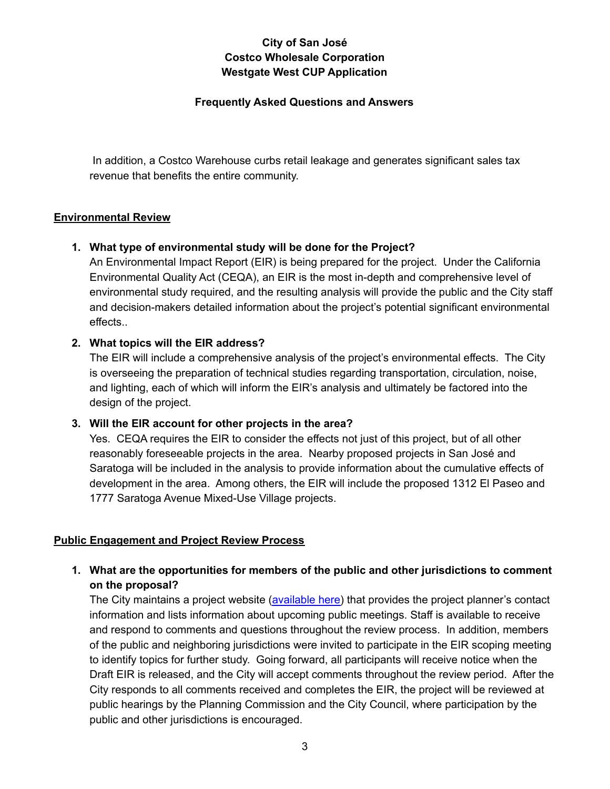#### **Frequently Asked Questions and Answers**

In addition, a Costco Warehouse curbs retail leakage and generates significant sales tax revenue that benefits the entire community.

### **Environmental Review**

### **1. What type of environmental study will be done for the Project?**

An Environmental Impact Report (EIR) is being prepared for the project. Under the California Environmental Quality Act (CEQA), an EIR is the most in-depth and comprehensive level of environmental study required, and the resulting analysis will provide the public and the City staff and decision-makers detailed information about the project's potential significant environmental effects..

# **2. What topics will the EIR address?**

The EIR will include a comprehensive analysis of the project's environmental effects. The City is overseeing the preparation of technical studies regarding transportation, circulation, noise, and lighting, each of which will inform the EIR's analysis and ultimately be factored into the design of the project.

# **3. Will the EIR account for other projects in the area?**

Yes. CEQA requires the EIR to consider the effects not just of this project, but of all other reasonably foreseeable projects in the area. Nearby proposed projects in San José and Saratoga will be included in the analysis to provide information about the cumulative effects of development in the area. Among others, the EIR will include the proposed 1312 El Paseo and 1777 Saratoga Avenue Mixed-Use Village projects.

# **Public Engagement and Project Review Process**

**1. What are the opportunities for members of the public and other jurisdictions to comment on the proposal?**

The City maintains a project website [\(available](https://www.sanjoseca.gov/your-government/departments-offices/planning-building-code-enforcement/planning-division/projects-of-high-interest/costco-westgate-west-5287-prospect-road) here) that provides the project planner's contact information and lists information about upcoming public meetings. Staff is available to receive and respond to comments and questions throughout the review process. In addition, members of the public and neighboring jurisdictions were invited to participate in the EIR scoping meeting to identify topics for further study. Going forward, all participants will receive notice when the Draft EIR is released, and the City will accept comments throughout the review period. After the City responds to all comments received and completes the EIR, the project will be reviewed at public hearings by the Planning Commission and the City Council, where participation by the public and other jurisdictions is encouraged.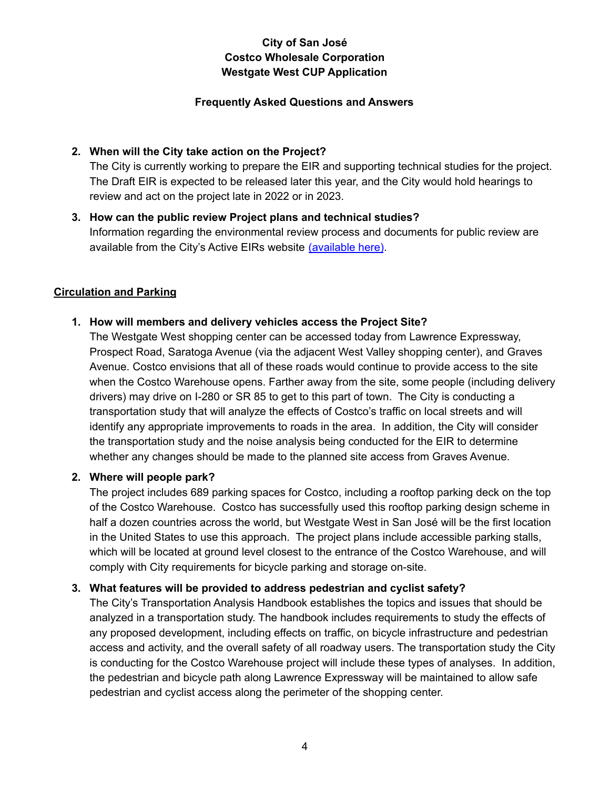#### **Frequently Asked Questions and Answers**

### **2. When will the City take action on the Project?**

The City is currently working to prepare the EIR and supporting technical studies for the project. The Draft EIR is expected to be released later this year, and the City would hold hearings to review and act on the project late in 2022 or in 2023.

**3. How can the public review Project plans and technical studies?** Information regarding the environmental review process and documents for public review are available from the City's Active EIRs website [\(available](https://www.sanjoseca.gov/your-government/departments/planning-building-code-enforcement/planning-division/environmental-planning/environmental-review/active-eirs) here).

### **Circulation and Parking**

### **1. How will members and delivery vehicles access the Project Site?**

The Westgate West shopping center can be accessed today from Lawrence Expressway, Prospect Road, Saratoga Avenue (via the adjacent West Valley shopping center), and Graves Avenue. Costco envisions that all of these roads would continue to provide access to the site when the Costco Warehouse opens. Farther away from the site, some people (including delivery drivers) may drive on I-280 or SR 85 to get to this part of town. The City is conducting a transportation study that will analyze the effects of Costco's traffic on local streets and will identify any appropriate improvements to roads in the area. In addition, the City will consider the transportation study and the noise analysis being conducted for the EIR to determine whether any changes should be made to the planned site access from Graves Avenue.

## **2. Where will people park?**

The project includes 689 parking spaces for Costco, including a rooftop parking deck on the top of the Costco Warehouse. Costco has successfully used this rooftop parking design scheme in half a dozen countries across the world, but Westgate West in San José will be the first location in the United States to use this approach. The project plans include accessible parking stalls, which will be located at ground level closest to the entrance of the Costco Warehouse, and will comply with City requirements for bicycle parking and storage on-site.

#### **3. What features will be provided to address pedestrian and cyclist safety?**

The City's Transportation Analysis Handbook establishes the topics and issues that should be analyzed in a transportation study. The handbook includes requirements to study the effects of any proposed development, including effects on traffic, on bicycle infrastructure and pedestrian access and activity, and the overall safety of all roadway users. The transportation study the City is conducting for the Costco Warehouse project will include these types of analyses. In addition, the pedestrian and bicycle path along Lawrence Expressway will be maintained to allow safe pedestrian and cyclist access along the perimeter of the shopping center.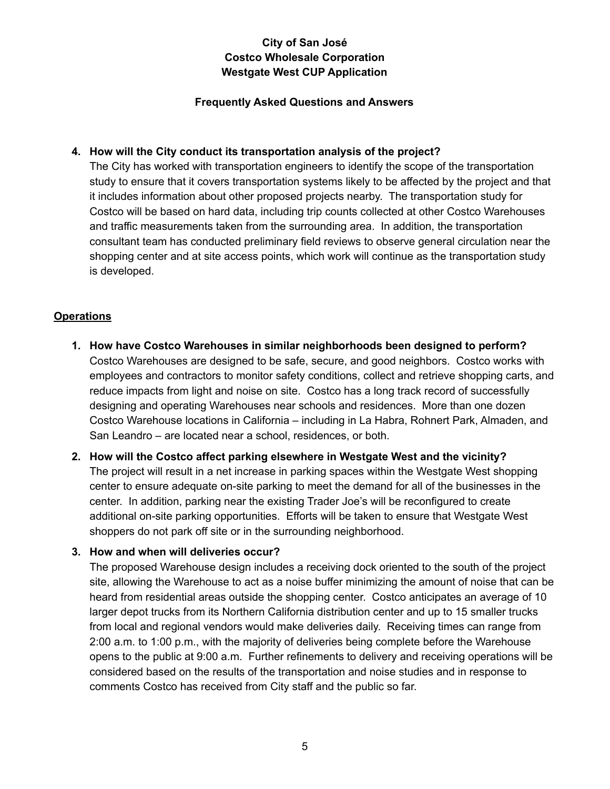#### **Frequently Asked Questions and Answers**

## **4. How will the City conduct its transportation analysis of the project?**

The City has worked with transportation engineers to identify the scope of the transportation study to ensure that it covers transportation systems likely to be affected by the project and that it includes information about other proposed projects nearby. The transportation study for Costco will be based on hard data, including trip counts collected at other Costco Warehouses and traffic measurements taken from the surrounding area. In addition, the transportation consultant team has conducted preliminary field reviews to observe general circulation near the shopping center and at site access points, which work will continue as the transportation study is developed.

### **Operations**

- **1. How have Costco Warehouses in similar neighborhoods been designed to perform?** Costco Warehouses are designed to be safe, secure, and good neighbors. Costco works with employees and contractors to monitor safety conditions, collect and retrieve shopping carts, and reduce impacts from light and noise on site. Costco has a long track record of successfully designing and operating Warehouses near schools and residences. More than one dozen Costco Warehouse locations in California – including in La Habra, Rohnert Park, Almaden, and San Leandro – are located near a school, residences, or both.
- **2. How will the Costco affect parking elsewhere in Westgate West and the vicinity?** The project will result in a net increase in parking spaces within the Westgate West shopping center to ensure adequate on-site parking to meet the demand for all of the businesses in the center. In addition, parking near the existing Trader Joe's will be reconfigured to create additional on-site parking opportunities. Efforts will be taken to ensure that Westgate West shoppers do not park off site or in the surrounding neighborhood.

#### **3. How and when will deliveries occur?**

The proposed Warehouse design includes a receiving dock oriented to the south of the project site, allowing the Warehouse to act as a noise buffer minimizing the amount of noise that can be heard from residential areas outside the shopping center. Costco anticipates an average of 10 larger depot trucks from its Northern California distribution center and up to 15 smaller trucks from local and regional vendors would make deliveries daily. Receiving times can range from 2:00 a.m. to 1:00 p.m., with the majority of deliveries being complete before the Warehouse opens to the public at 9:00 a.m. Further refinements to delivery and receiving operations will be considered based on the results of the transportation and noise studies and in response to comments Costco has received from City staff and the public so far.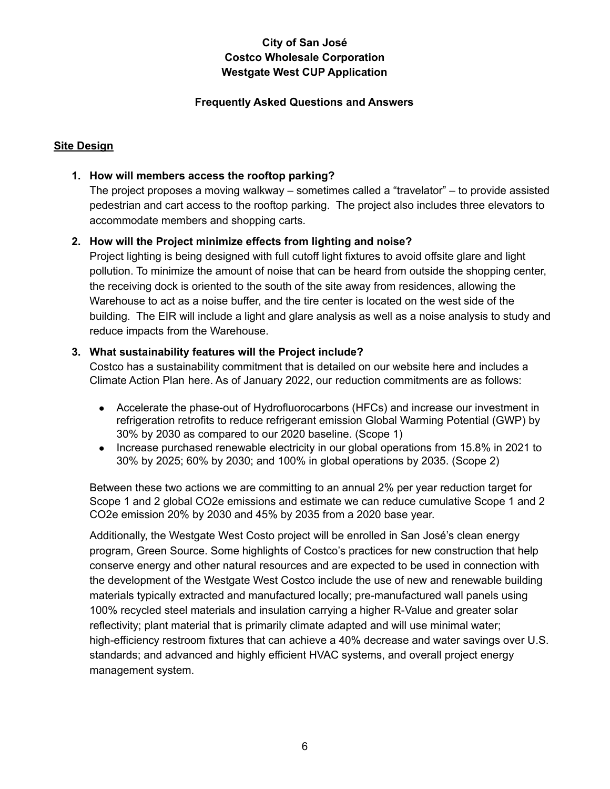#### **Frequently Asked Questions and Answers**

## **Site Design**

### **1. How will members access the rooftop parking?**

The project proposes a moving walkway – sometimes called a "travelator" – to provide assisted pedestrian and cart access to the rooftop parking. The project also includes three elevators to accommodate members and shopping carts.

### **2. How will the Project minimize effects from lighting and noise?**

Project lighting is being designed with full cutoff light fixtures to avoid offsite glare and light pollution. To minimize the amount of noise that can be heard from outside the shopping center, the receiving dock is oriented to the south of the site away from residences, allowing the Warehouse to act as a noise buffer, and the tire center is located on the west side of the building. The EIR will include a light and glare analysis as well as a noise analysis to study and reduce impacts from the Warehouse.

#### **3. What sustainability features will the Project include?**

Costco has a sustainability commitment that is detailed on our website [here](https://www.costco.com/sustainability-introduction.html#sustainability-overview) and includes a Climate Action Plan [here.](https://www.costco.com/sustainability-climate-action-plan.html#introduction) As of January 2022, our reduction commitments are as follows:

- Accelerate the phase-out of Hydrofluorocarbons (HFCs) and increase our investment in refrigeration retrofits to reduce refrigerant emission Global Warming Potential (GWP) by 30% by 2030 as compared to our 2020 baseline. (Scope 1)
- Increase purchased renewable electricity in our global operations from 15.8% in 2021 to 30% by 2025; 60% by 2030; and 100% in global operations by 2035. (Scope 2)

Between these two actions we are committing to an annual 2% per year reduction target for Scope 1 and 2 global CO2e emissions and estimate we can reduce cumulative Scope 1 and 2 CO2e emission 20% by 2030 and 45% by 2035 from a 2020 base year.

Additionally, the Westgate West Costo project will be enrolled in San José's clean energy program, Green Source. Some highlights of Costco's practices for new construction that help conserve energy and other natural resources and are expected to be used in connection with the development of the Westgate West Costco include the use of new and renewable building materials typically extracted and manufactured locally; pre-manufactured wall panels using 100% recycled steel materials and insulation carrying a higher R-Value and greater solar reflectivity; plant material that is primarily climate adapted and will use minimal water; high-efficiency restroom fixtures that can achieve a 40% decrease and water savings over U.S. standards; and advanced and highly efficient HVAC systems, and overall project energy management system.